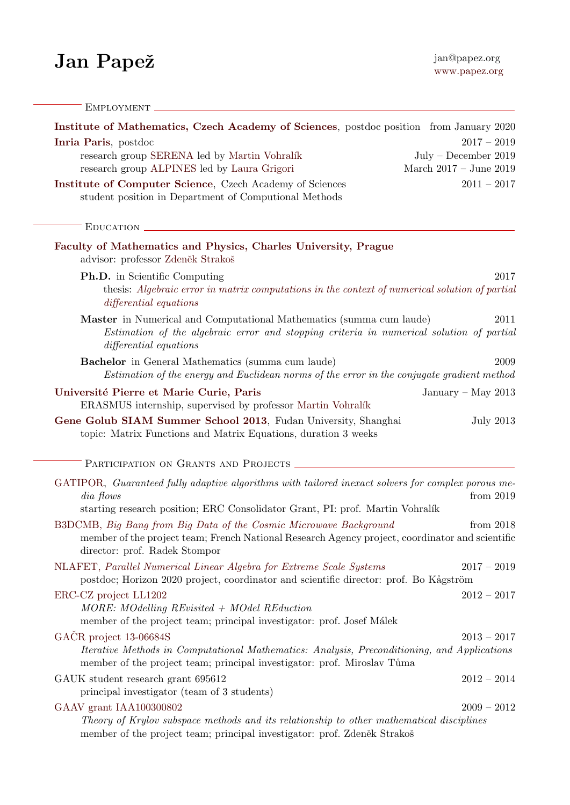## $\textbf{Jan } \textbf{Pape\check{z}}$  jan@papez.org jan@papez.org

| EMPLOYMENT                                                                                                                                                                                                                                                                             |                                                  |
|----------------------------------------------------------------------------------------------------------------------------------------------------------------------------------------------------------------------------------------------------------------------------------------|--------------------------------------------------|
| Institute of Mathematics, Czech Academy of Sciences, postdoc position from January 2020<br>Inria Paris, postdoc                                                                                                                                                                        | $2017 - 2019$                                    |
| research group SERENA led by Martin Vohralík<br>research group ALPINES led by Laura Grigori                                                                                                                                                                                            | $July - December 2019$<br>March 2017 – June 2019 |
| Institute of Computer Science, Czech Academy of Sciences<br>student position in Department of Computional Methods                                                                                                                                                                      | $2011 - 2017$                                    |
| EDUCATION                                                                                                                                                                                                                                                                              |                                                  |
| Faculty of Mathematics and Physics, Charles University, Prague<br>advisor: professor Zdeněk Strakoš                                                                                                                                                                                    |                                                  |
| <b>Ph.D.</b> in Scientific Computing<br>thesis: Algebraic error in matrix computations in the context of numerical solution of partial<br>differential equations                                                                                                                       | 2017                                             |
| Master in Numerical and Computational Mathematics (summa cum laude)<br>Estimation of the algebraic error and stopping criteria in numerical solution of partial<br>differential equations                                                                                              | 2011                                             |
| <b>Bachelor</b> in General Mathematics (summa cum laude)<br>Estimation of the energy and Euclidean norms of the error in the conjugate gradient method                                                                                                                                 | 2009                                             |
| Université Pierre et Marie Curie, Paris<br>ERASMUS internship, supervised by professor Martin Vohralík                                                                                                                                                                                 | January – May $2013$                             |
| Gene Golub SIAM Summer School 2013, Fudan University, Shanghai<br>topic: Matrix Functions and Matrix Equations, duration 3 weeks                                                                                                                                                       | <b>July 2013</b>                                 |
| PARTICIPATION ON GRANTS AND PROJECTS                                                                                                                                                                                                                                                   |                                                  |
| GATIPOR, Guaranteed fully adaptive algorithms with tailored inexact solvers for complex porous me-<br>dia flows                                                                                                                                                                        | from 2019                                        |
| starting research position; ERC Consolidator Grant, PI: prof. Martin Vohralík<br>B3DCMB, Big Bang from Big Data of the Cosmic Microwave Background<br>member of the project team; French National Research Agency project, coordinator and scientific<br>director: prof. Radek Stompor | from $2018$                                      |
| NLAFET, Parallel Numerical Linear Algebra for Extreme Scale Systems<br>postdoc; Horizon 2020 project, coordinator and scientific director: prof. Bo Kågström                                                                                                                           | $2017 - 2019$                                    |
| ERC-CZ project LL1202<br>$MORE: Modelling REvisited + Model REduction$<br>member of the project team; principal investigator: prof. Josef Málek                                                                                                                                        | $2012 - 2017$                                    |
| GAČR project 13-06684S<br><i>Iterative Methods in Computational Mathematics: Analysis, Preconditioning, and Applications</i><br>member of the project team; principal investigator: prof. Miroslav Tůma                                                                                | $2013 - 2017$                                    |
| GAUK student research grant 695612<br>principal investigator (team of 3 students)                                                                                                                                                                                                      | $2012 - 2014$                                    |
| GAAV grant IAA100300802<br>Theory of Krylov subspace methods and its relationship to other mathematical disciplines<br>member of the project team; principal investigator: prof. Zdeněk Strakoš                                                                                        | $2009 - 2012$                                    |